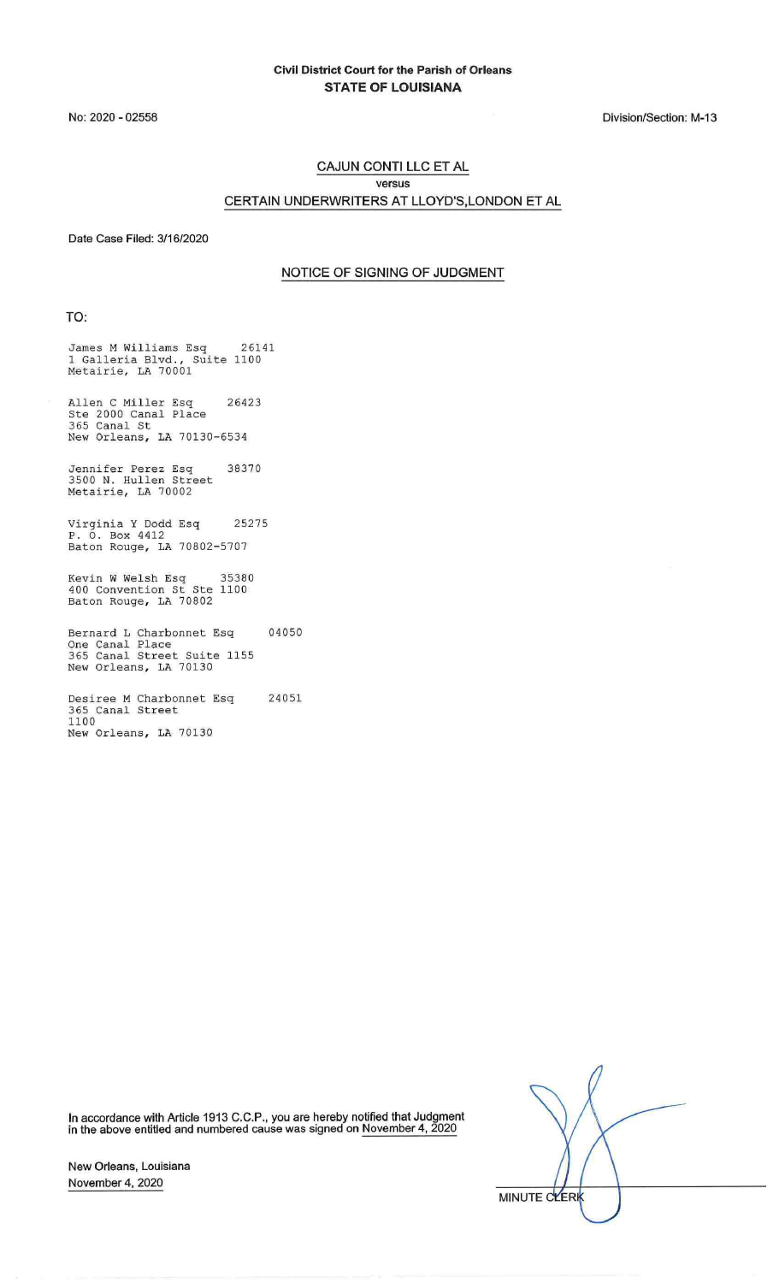No: 2020 - 02558

Division/Section: M-13

#### CAJUN CONTI LLC ET AL versus CERTAIN UNDERWRITERS AT LLOYD'S,LONDON ET AL

Date Case Filed: 3/16/2020

#### NOTICE OF SIGNING OF JUDGMENT

TO:

James M Williams Esq 26141 1 Galleria Blvd., Suite 1100 Metairie, LA 70001

Allen C Miller Esq 26423 Ste 2000 Canal Place 365 Canal St New Orleans, LA 70130-6534

Jennifer Perez Esq 38370 3500 N. Hullen Street Metairie, LA 70002

Virginia Y Dodd Esq 25275 P. 0. Box 4412 Baton Rouge, LA 70802-5707

Kevin W Welsh Esq 35380 400 Convention St Ste 1100 Baton Rouge, LA 70802

Bernard L Charbonnet Esq 04050 One Canal Place 365 Canal Street Suite 1155 New Orleans, LA 70130

Desiree M Charbonnet Esq 24051 365 Canal Street 1100 New Orleans, LA 70130

In accordance with Article 1913 C.C.P., you are hereby notified that Judgment in the above entitled and numbered cause was signed on November 4, 2020

MINUTE CLERK

New Orleans, Louisiana November 4, 2020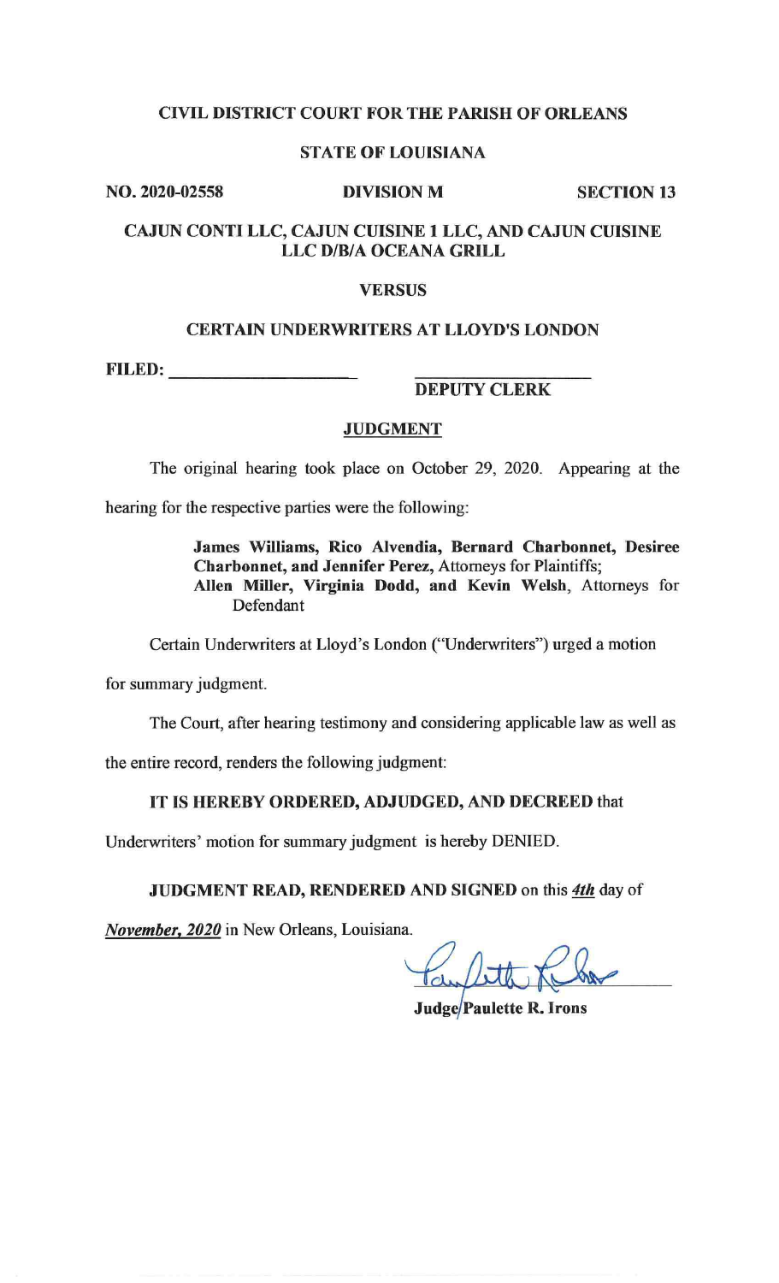# CIVIL DISTRICT COURT FOR THE PARISH OF ORLEANS

#### STATE OF LOUISIANA

NO. 2020-02558 DIVISION M SECTION 13

# CAJUN CONTI LLC, CAJUN CUISINE 1 LLC, AND CAJUN CUISINE LLC D/B/A OCEANA GRILL

#### VERSUS

#### CERTAIN UNDERWRITERS AT LLOYD'S LONDON

FILED: \_\_\_\_\_\_\_\_\_\_\_\_\_\_\_\_ \_

### DEPUTY CLERK

#### JUDGMENT

The original hearing took place on October 29, 2020. Appearing at the

hearing for the respective parties were the following:

James Williams, Rico Alvendia, Bernard Charbonnet, Desiree Charbonnet, and Jennifer Perez, Attorneys for Plaintiffs; Allen Miller, Virginia Dodd, and Kevin Welsh, Attorneys for Defendant

Certain Underwriters at Lloyd's London ("Underwriters") urged a motion

for summary judgment.

The Court, after hearing testimony and considering applicable law as well as

the entire record, renders the following judgment:

#### IT IS HEREBY ORDERED, ADJUDGED, AND DECREED that

Underwriters' motion for summary judgment is hereby DENIED.

JUDGMENT READ, RENDERED AND SIGNED on this *4th* day of

*November, 2020* in New Orleans, Louisiana.

Can fot

**Judge/Paulette R. Irons**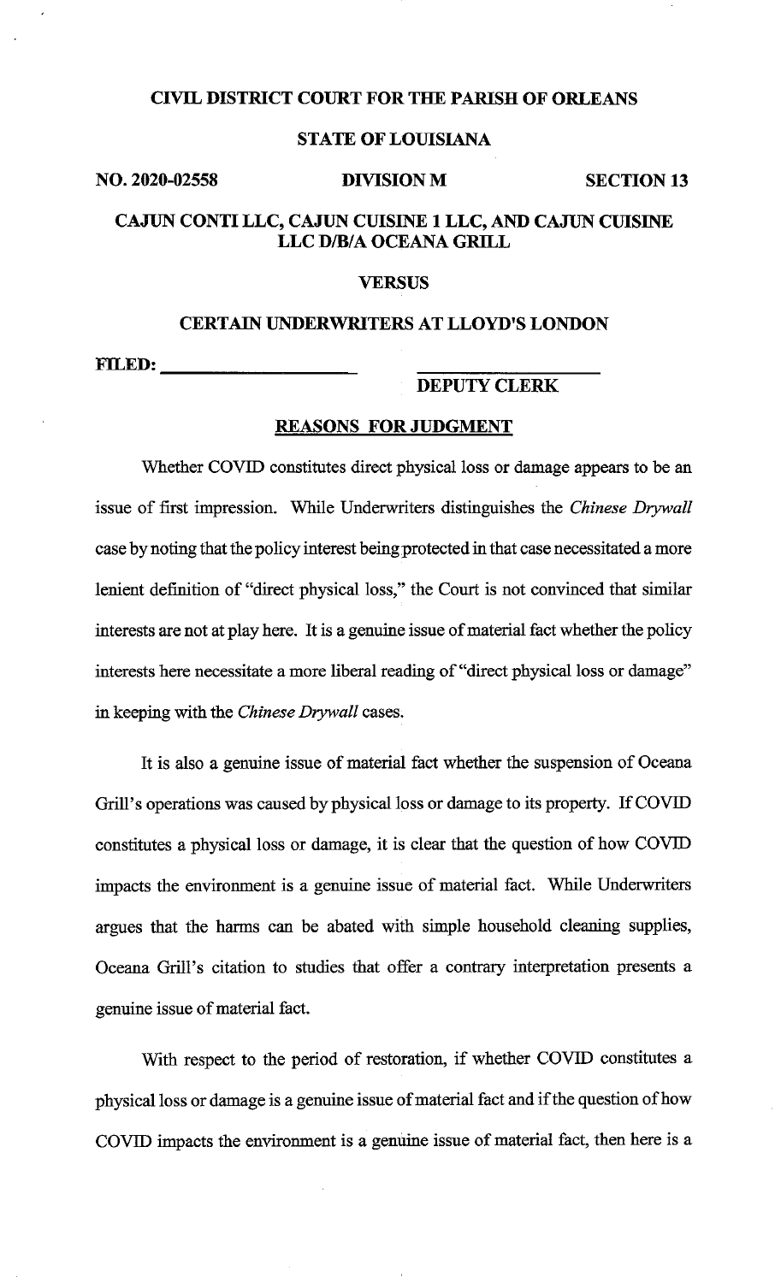#### **CIVIL DISTRICT COURT FOR THE PARISH OF ORLEANS**

# **STATE OF LOUISIANA**

#### **NO. 2020-02558 DIVISION M SECTION 13**

# **CAJUN CONTI LLC, CAJUN CUISINE 1 LLC, AND CAJUN CUISINE LLC D/B/A OCEANA GRILL**

#### **VERSUS**

# **CERTAIN UNDERWRITERS AT LLOYD'S LONDON FILED: \_\_\_\_\_\_\_\_\_\_\_\_\_\_ \_\_**

**DEPUTY CLERK** 

## **REASONS FOR JUDGMENT**

Whether COVID constitutes direct physical loss or damage appears to be an issue of first impression. While Underwriters distinguishes the *Chinese Drywall*  case by noting that the policy interest being protected in that case necessitated a more lenient definition of "direct physical loss," the Court is not convinced that similar interests are not at play here. It is a genuine issue of material fact whether the policy interests here necessitate a more liberal reading of "direct physical loss or damage" in keeping with the *Chinese Drywall* cases.

It is also a genuine issue of material fact whether the suspension of Oceana Grill's operations was caused by physical loss or damage to its property. If COVID constitutes a physical loss or damage, it is clear that the question of how COVID impacts the environment is a genuine issue of material fact. While Underwriters argues that the harms can be abated with simple household cleaning supplies, Oceana Grill's citation to studies that offer a contrary interpretation presents a genuine issue of material fact.

With respect to the period of restoration, if whether COVID constitutes a physical loss or damage is a genuine issue of material fact and if the question of how COVID impacts the environment is a genuine issue of material fact, then here is a